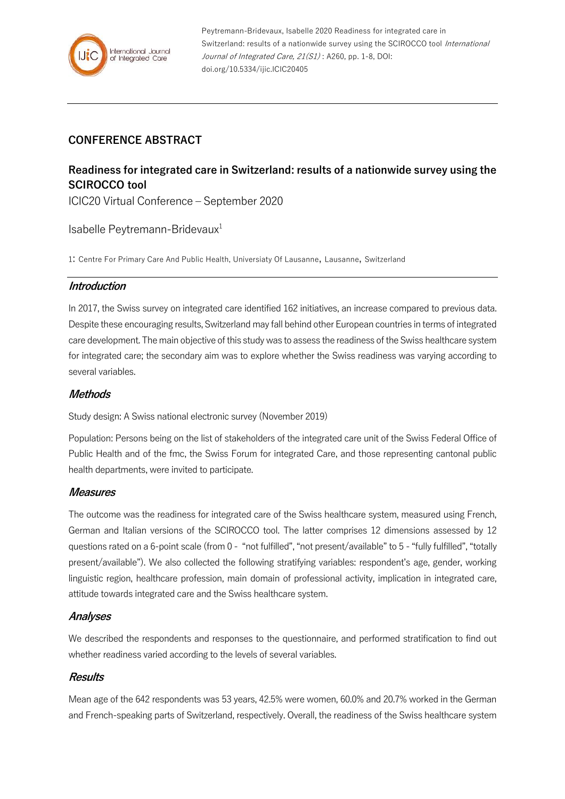

# **CONFERENCE ABSTRACT**

# **Readiness for integrated care in Switzerland: results of a nationwide survey using the SCIROCCO tool**

ICIC20 Virtual Conference – September 2020

Isabelle Peytremann-Bridevaux<sup>1</sup>

1: Centre For Primary Care And Public Health, Universiaty Of Lausanne, Lausanne, Switzerland

#### **Introduction**

In 2017, the Swiss survey on integrated care identified 162 initiatives, an increase compared to previous data. Despite these encouraging results, Switzerland may fall behind other European countries in terms of integrated care development. The main objective of this study was to assess the readiness of the Swiss healthcare system for integrated care; the secondary aim was to explore whether the Swiss readiness was varying according to several variables.

#### **Methods**

Study design: A Swiss national electronic survey (November 2019)

Population: Persons being on the list of stakeholders of the integrated care unit of the Swiss Federal Office of Public Health and of the fmc, the Swiss Forum for integrated Care, and those representing cantonal public health departments, were invited to participate.

#### **Measures**

The outcome was the readiness for integrated care of the Swiss healthcare system, measured using French, German and Italian versions of the SCIROCCO tool. The latter comprises 12 dimensions assessed by 12 questions rated on a 6-point scale (from 0 - "not fulfilled", "not present/available" to 5 - "fully fulfilled", "totally present/available"). We also collected the following stratifying variables: respondent's age, gender, working linguistic region, healthcare profession, main domain of professional activity, implication in integrated care, attitude towards integrated care and the Swiss healthcare system.

# **Analyses**

We described the respondents and responses to the questionnaire, and performed stratification to find out whether readiness varied according to the levels of several variables.

#### **Results**

Mean age of the 642 respondents was 53 years, 42.5% were women, 60.0% and 20.7% worked in the German and French-speaking parts of Switzerland, respectively. Overall, the readiness of the Swiss healthcare system